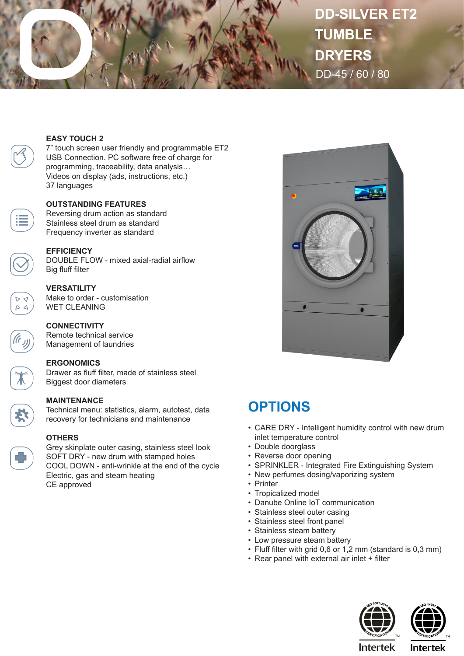

# **DD-SILVER ET2 TUMBLE DRYERS** DD-45 / 60 / 80

#### **EASY TOUCH 2**

7" touch screen user friendly and programmable ET2 USB Connection. PC software free of charge for programming, traceability, data analysis… Videos on display (ads, instructions, etc.) 37 languages

#### **OUTSTANDING FEATURES**

Reversing drum action as standard Stainless steel drum as standard Frequency inverter as standard



### **EFFICIENCY**

DOUBLE FLOW - mixed axial-radial airflow Big fluff filter

#### **VERSATILITY**

Make to order - customisation WET CLEANING

#### **CONNECTIVITY**

Remote technical service Management of laundries

#### **ERGONOMICS**

Drawer as fluff filter, made of stainless steel Biggest door diameters

#### **MAINTENANCE**

Technical menu: statistics, alarm, autotest, data recovery for technicians and maintenance



#### **OTHERS**

Grey skinplate outer casing, stainless steel look SOFT DRY - new drum with stamped holes COOL DOWN - anti-wrinkle at the end of the cycle Electric, gas and steam heating CE approved



## **OPTIONS**

- CARE DRY Intelligent humidity control with new drum inlet temperature control
- Double doorglass
- Reverse door opening
- SPRINKLER Integrated Fire Extinguishing System
- New perfumes dosing/vaporizing system
- Printer
- Tropicalized model
- Danube Online IoT communication
- Stainless steel outer casing
- Stainless steel front panel
- Stainless steam battery
- Low pressure steam battery
- Fluff filter with grid 0,6 or 1,2 mm (standard is 0,3 mm)
- Rear panel with external air inlet + filter





**Intertek**